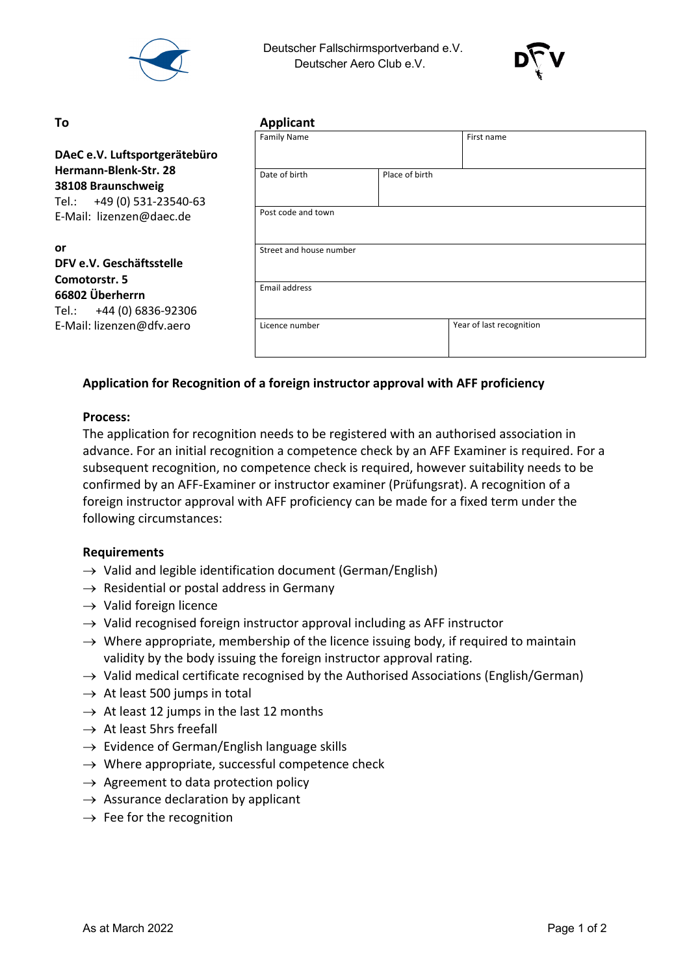

 Deutscher Fallschirmsportverband e.V. Deutscher Aero Club e.V.



#### **To Applicant**

|                                                                           | <b>Family Name</b>      |                | First name               |
|---------------------------------------------------------------------------|-------------------------|----------------|--------------------------|
| DAeC e.V. Luftsportgerätebüro                                             |                         |                |                          |
| Hermann-Blenk-Str. 28<br>38108 Braunschweig<br>Tel.: +49 (0) 531-23540-63 | Date of birth           | Place of birth |                          |
| E-Mail: lizenzen@daec.de                                                  | Post code and town      |                |                          |
| or<br>DFV e.V. Geschäftsstelle<br>Comotorstr. 5                           | Street and house number |                |                          |
| 66802 Überherrn<br>Tel.: +44 (0) 6836-92306                               | Email address           |                |                          |
| E-Mail: lizenzen@dfv.aero                                                 | Licence number          |                | Year of last recognition |

# **Application for Recognition of a foreign instructor approval with AFF proficiency**

## **Process:**

The application for recognition needs to be registered with an authorised association in advance. For an initial recognition a competence check by an AFF Examiner is required. For a subsequent recognition, no competence check is required, however suitability needs to be confirmed by an AFF-Examiner or instructor examiner (Prüfungsrat). A recognition of a foreign instructor approval with AFF proficiency can be made for a fixed term under the following circumstances:

### **Requirements**

- $\rightarrow$  Valid and legible identification document (German/English)
- $\rightarrow$  Residential or postal address in Germany
- $\rightarrow$  Valid foreign licence
- $\rightarrow$  Valid recognised foreign instructor approval including as AFF instructor
- $\rightarrow$  Where appropriate, membership of the licence issuing body, if required to maintain validity by the body issuing the foreign instructor approval rating.
- $\rightarrow$  Valid medical certificate recognised by the Authorised Associations (English/German)
- $\rightarrow$  At least 500 jumps in total
- $\rightarrow$  At least 12 jumps in the last 12 months
- $\rightarrow$  At least 5hrs freefall
- $\rightarrow$  Evidence of German/English language skills
- $\rightarrow$  Where appropriate, successful competence check
- $\rightarrow$  Agreement to data protection policy
- $\rightarrow$  Assurance declaration by applicant
- $\rightarrow$  Fee for the recognition